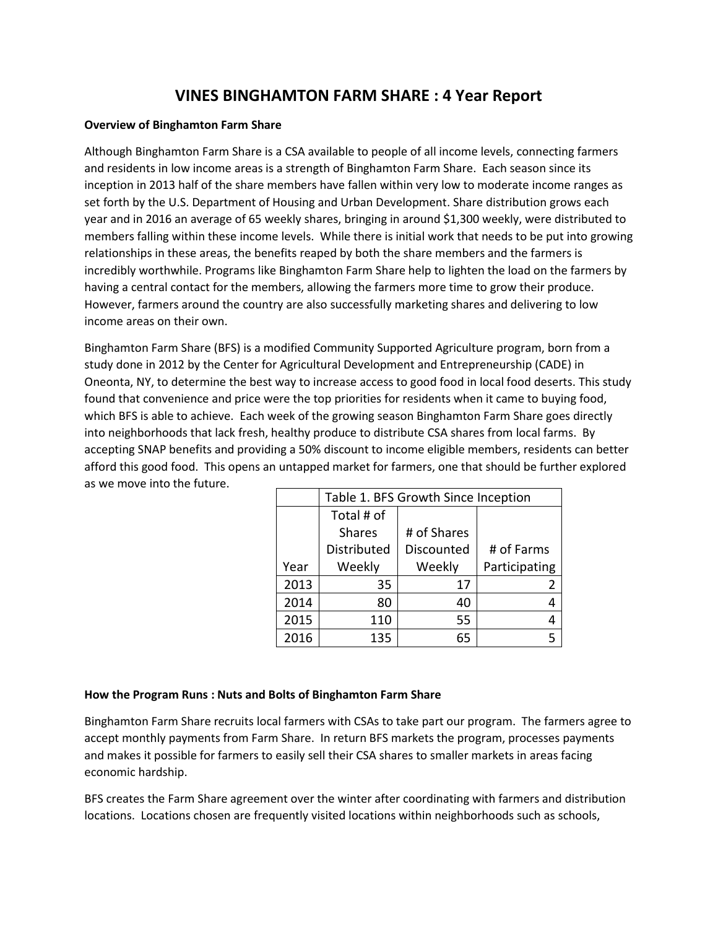# **VINES BINGHAMTON FARM SHARE : 4 Year Report**

### **Overview of Binghamton Farm Share**

Although Binghamton Farm Share is a CSA available to people of all income levels, connecting farmers and residents in low income areas is a strength of Binghamton Farm Share. Each season since its inception in 2013 half of the share members have fallen within very low to moderate income ranges as set forth by the U.S. Department of Housing and Urban Development. Share distribution grows each year and in 2016 an average of 65 weekly shares, bringing in around \$1,300 weekly, were distributed to members falling within these income levels. While there is initial work that needs to be put into growing relationships in these areas, the benefits reaped by both the share members and the farmers is incredibly worthwhile. Programs like Binghamton Farm Share help to lighten the load on the farmers by having a central contact for the members, allowing the farmers more time to grow their produce. However, farmers around the country are also successfully marketing shares and delivering to low income areas on their own.

Binghamton Farm Share (BFS) is a modified Community Supported Agriculture program, born from a study done in 2012 by the Center for Agricultural Development and Entrepreneurship (CADE) in Oneonta, NY, to determine the best way to increase access to good food in local food deserts. This study found that convenience and price were the top priorities for residents when it came to buying food, which BFS is able to achieve. Each week of the growing season Binghamton Farm Share goes directly into neighborhoods that lack fresh, healthy produce to distribute CSA shares from local farms. By accepting SNAP benefits and providing a 50% discount to income eligible members, residents can better afford this good food. This opens an untapped market for farmers, one that should be further explored as we move into the future.

|      | Table 1. BFS Growth Since Inception |             |               |  |  |
|------|-------------------------------------|-------------|---------------|--|--|
|      | Total # of                          |             |               |  |  |
|      | <b>Shares</b>                       | # of Shares |               |  |  |
|      | Distributed                         | Discounted  | # of Farms    |  |  |
| Year | Weekly                              | Weekly      | Participating |  |  |
| 2013 | 35                                  | 17          |               |  |  |
| 2014 | 80                                  | 40          |               |  |  |
| 2015 | 110                                 | 55          |               |  |  |
| 2016 | 135                                 | 65          |               |  |  |

### **How the Program Runs : Nuts and Bolts of Binghamton Farm Share**

Binghamton Farm Share recruits local farmers with CSAs to take part our program. The farmers agree to accept monthly payments from Farm Share. In return BFS markets the program, processes payments and makes it possible for farmers to easily sell their CSA shares to smaller markets in areas facing economic hardship.

BFS creates the Farm Share agreement over the winter after coordinating with farmers and distribution locations. Locations chosen are frequently visited locations within neighborhoods such as schools,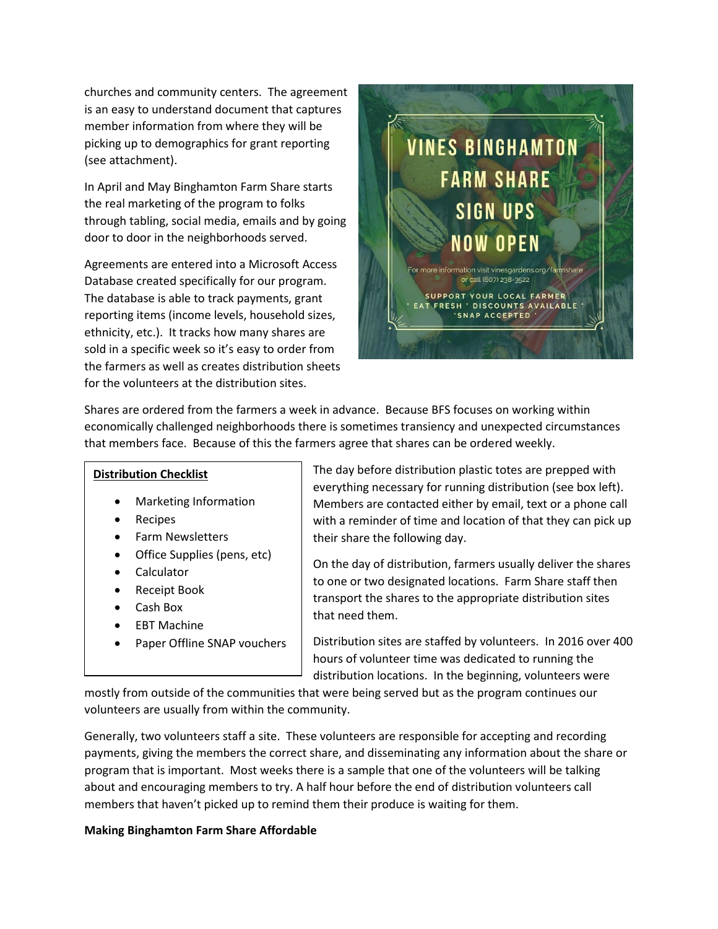churches and community centers. The agreement is an easy to understand document that captures member information from where they will be picking up to demographics for grant reporting (see attachment).

In April and May Binghamton Farm Share starts the real marketing of the program to folks through tabling, social media, emails and by going door to door in the neighborhoods served.

Agreements are entered into a Microsoft Access Database created specifically for our program. The database is able to track payments, grant reporting items (income levels, household sizes, ethnicity, etc.). It tracks how many shares are sold in a specific week so it's easy to order from the farmers as well as creates distribution sheets for the volunteers at the distribution sites.



Shares are ordered from the farmers a week in advance. Because BFS focuses on working within economically challenged neighborhoods there is sometimes transiency and unexpected circumstances that members face. Because of this the farmers agree that shares can be ordered weekly.

### **Distribution Checklist**

- Marketing Information
- Recipes
- Farm Newsletters
- Office Supplies (pens, etc)
- Calculator
- Receipt Book
- Cash Box
- EBT Machine
- Paper Offline SNAP vouchers

The day before distribution plastic totes are prepped with everything necessary for running distribution (see box left). Members are contacted either by email, text or a phone call with a reminder of time and location of that they can pick up their share the following day.

On the day of distribution, farmers usually deliver the shares to one or two designated locations. Farm Share staff then transport the shares to the appropriate distribution sites that need them.

Distribution sites are staffed by volunteers. In 2016 over 400 hours of volunteer time was dedicated to running the distribution locations. In the beginning, volunteers were

mostly from outside of the communities that were being served but as the program continues our volunteers are usually from within the community.

Generally, two volunteers staff a site. These volunteers are responsible for accepting and recording payments, giving the members the correct share, and disseminating any information about the share or program that is important. Most weeks there is a sample that one of the volunteers will be talking about and encouraging members to try. A half hour before the end of distribution volunteers call members that haven't picked up to remind them their produce is waiting for them.

### **Making Binghamton Farm Share Affordable**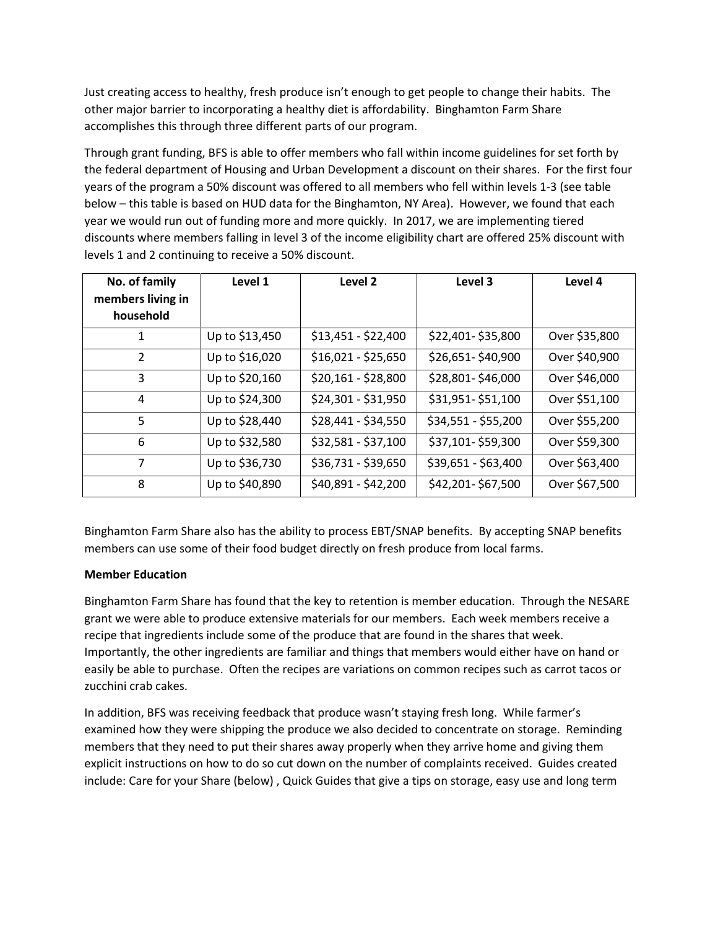Just creating access to healthy, fresh produce isn't enough to get people to change their habits. The other major barrier to incorporating a healthy diet is affordability. Binghamton Farm Share accomplishes this through three different parts of our program.

Through grant funding, BFS is able to offer members who fall within income guidelines for set forth by the federal department of Housing and Urban Development a discount on their shares. For the first four years of the program a 50% discount was offered to all members who fell within levels 1-3 (see table below – this table is based on HUD data for the Binghamton, NY Area). However, we found that each year we would run out of funding more and more quickly. In 2017, we are implementing tiered discounts where members falling in level 3 of the income eligibility chart are offered 25% discount with levels 1 and 2 continuing to receive a 50% discount.

| No. of family<br>members living in<br>household | Level 1        | Level 2             | Level 3             | Level 4       |
|-------------------------------------------------|----------------|---------------------|---------------------|---------------|
| 1                                               | Up to \$13,450 | \$13,451 - \$22,400 | \$22,401-\$35,800   | Over \$35,800 |
| $\mathcal{P}$                                   | Up to \$16,020 | $$16,021 - $25,650$ | \$26,651-\$40,900   | Over \$40,900 |
| 3                                               | Up to \$20,160 | \$20,161 - \$28,800 | \$28,801-\$46,000   | Over \$46,000 |
| 4                                               | Up to \$24,300 | \$24,301 - \$31,950 | \$31,951-\$51,100   | Over \$51,100 |
| 5                                               | Up to \$28,440 | \$28,441 - \$34,550 | \$34,551 - \$55,200 | Over \$55,200 |
| 6                                               | Up to \$32,580 | \$32,581 - \$37,100 | \$37,101-\$59,300   | Over \$59,300 |
| 7                                               | Up to \$36,730 | \$36,731 - \$39,650 | \$39,651 - \$63,400 | Over \$63,400 |
| 8                                               | Up to \$40,890 | \$40,891 - \$42,200 | \$42,201-\$67,500   | Over \$67,500 |

Binghamton Farm Share also has the ability to process EBT/SNAP benefits. By accepting SNAP benefits members can use some of their food budget directly on fresh produce from local farms.

### **Member Education**

Binghamton Farm Share has found that the key to retention is member education. Through the NESARE grant we were able to produce extensive materials for our members. Each week members receive a recipe that ingredients include some of the produce that are found in the shares that week. Importantly, the other ingredients are familiar and things that members would either have on hand or easily be able to purchase. Often the recipes are variations on common recipes such as carrot tacos or zucchini crab cakes.

In addition, BFS was receiving feedback that produce wasn't staying fresh long. While farmer's examined how they were shipping the produce we also decided to concentrate on storage. Reminding members that they need to put their shares away properly when they arrive home and giving them explicit instructions on how to do so cut down on the number of complaints received. Guides created include: Care for your Share (below) , Quick Guides that give a tips on storage, easy use and long term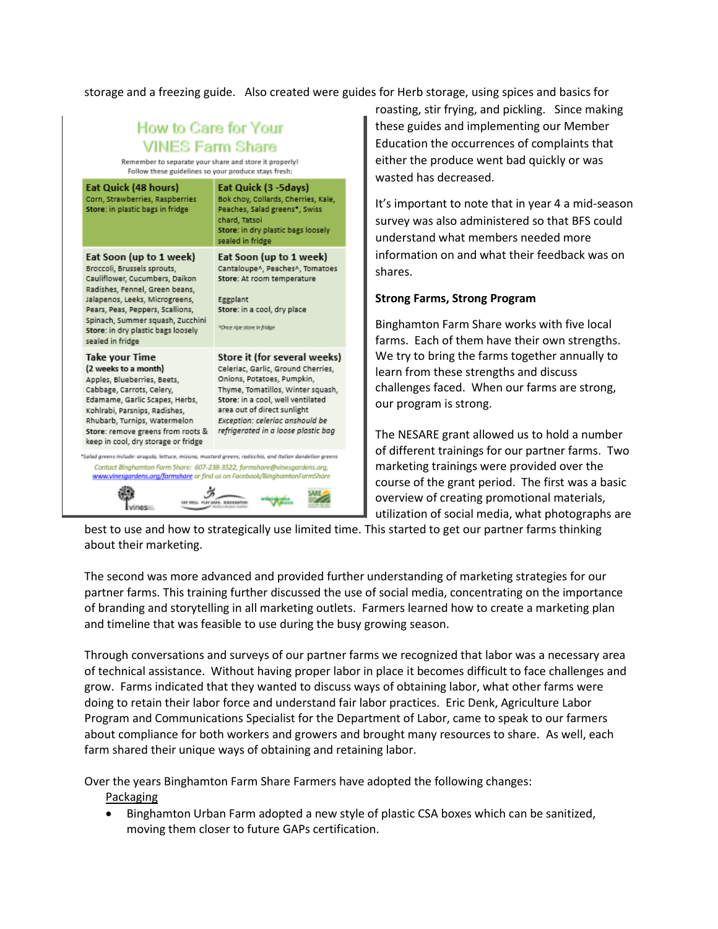storage and a freezing guide. Also created were guides for Herb storage, using spices and basics for

## How to Care for Your **VINES Farm Share**

Remember to separate your share and store it properly! Follow these guidelines so your produce stays fresh:

| Eat Quick (48 hours)<br>Corn, Strawberries, Raspberries<br>Store: in plastic bags in fridge                                                                                                                                                                                                    | Eat Quick (3 -5days)<br>Bok choy, Collards, Cherries, Kale,<br>Peaches, Salad greens*, Swiss<br>chard, Tatsoi<br>Store: in dry plastic bags loosely<br>sealed in fridge                                                                                                             |  |
|------------------------------------------------------------------------------------------------------------------------------------------------------------------------------------------------------------------------------------------------------------------------------------------------|-------------------------------------------------------------------------------------------------------------------------------------------------------------------------------------------------------------------------------------------------------------------------------------|--|
| Eat Soon (up to 1 week)<br>Broccoli, Brussels sprouts,<br>Cauliflower, Cucumbers, Daikon<br>Radishes, Fennel, Green beans,<br>Jalapenos, Leeks, Microgreens,<br>Pears, Peas, Peppers, Scallions,<br>Spinach, Summer squash, Zucchini<br>Store: in dry plastic bags loosely<br>sealed in fridge | Eat Soon (up to 1 week)<br>Cantaloupe^, Peaches^, Tomatoes<br>Store: At room temperature<br>Eggplant<br>Store: in a cool, dry place<br><sup>A</sup> Once ripe store in fridge                                                                                                       |  |
| Take your Time<br>(2 weeks to a month)<br>Apples, Blueberries, Beets,<br>Cabbage, Carrots, Celery,<br>Edamame, Garlic Scapes, Herbs,<br>Kohlrabi, Parsnips, Radishes,<br>Rhubarb, Turnips, Watermelon<br>Store: remove greens from roots &<br>keep in cool, dry storage or fridge              | Store it (for several weeks)<br>Celeriac, Garlic, Ground Cherries,<br>Onions, Potatoes, Pumpkin,<br>Thyme, Tomatillos, Winter squash,<br>Store: in a cool, well ventilated<br>area out of direct sunlight<br>Exception: celeriac anshould be<br>refrigerated in a loose plastic bag |  |
| *Salad greens include: arugula, lettuce, miruna, mustard greens, radicchio, and italian dandelion greens<br>Contact Binghamton Form Share: 607-238-3522, farmshare@vinesgardens.org,                                                                                                           | www.vinesaardens.ora/farmshare.or find us on Facebook/BinahamtonFarmShare                                                                                                                                                                                                           |  |

roasting, stir frying, and pickling. Since making these guides and implementing our Member Education the occurrences of complaints that either the produce went bad quickly or was wasted has decreased.

It's important to note that in year 4 a mid-season survey was also administered so that BFS could understand what members needed more information on and what their feedback was on shares.

### **Strong Farms, Strong Program**

Binghamton Farm Share works with five local farms. Each of them have their own strengths. We try to bring the farms together annually to learn from these strengths and discuss challenges faced. When our farms are strong, our program is strong.

The NESARE grant allowed us to hold a number of different trainings for our partner farms. Two marketing trainings were provided over the course of the grant period. The first was a basic overview of creating promotional materials, utilization of social media, what photographs are

best to use and how to strategically use limited time. This started to get our partner farms thinking about their marketing.

The second was more advanced and provided further understanding of marketing strategies for our partner farms. This training further discussed the use of social media, concentrating on the importance of branding and storytelling in all marketing outlets. Farmers learned how to create a marketing plan and timeline that was feasible to use during the busy growing season.

Through conversations and surveys of our partner farms we recognized that labor was a necessary area of technical assistance. Without having proper labor in place it becomes difficult to face challenges and grow. Farms indicated that they wanted to discuss ways of obtaining labor, what other farms were doing to retain their labor force and understand fair labor practices. Eric Denk, Agriculture Labor Program and Communications Specialist for the Department of Labor, came to speak to our farmers about compliance for both workers and growers and brought many resources to share. As well, each farm shared their unique ways of obtaining and retaining labor.

Over the years Binghamton Farm Share Farmers have adopted the following changes:

Packaging

• Binghamton Urban Farm adopted a new style of plastic CSA boxes which can be sanitized, moving them closer to future GAPs certification.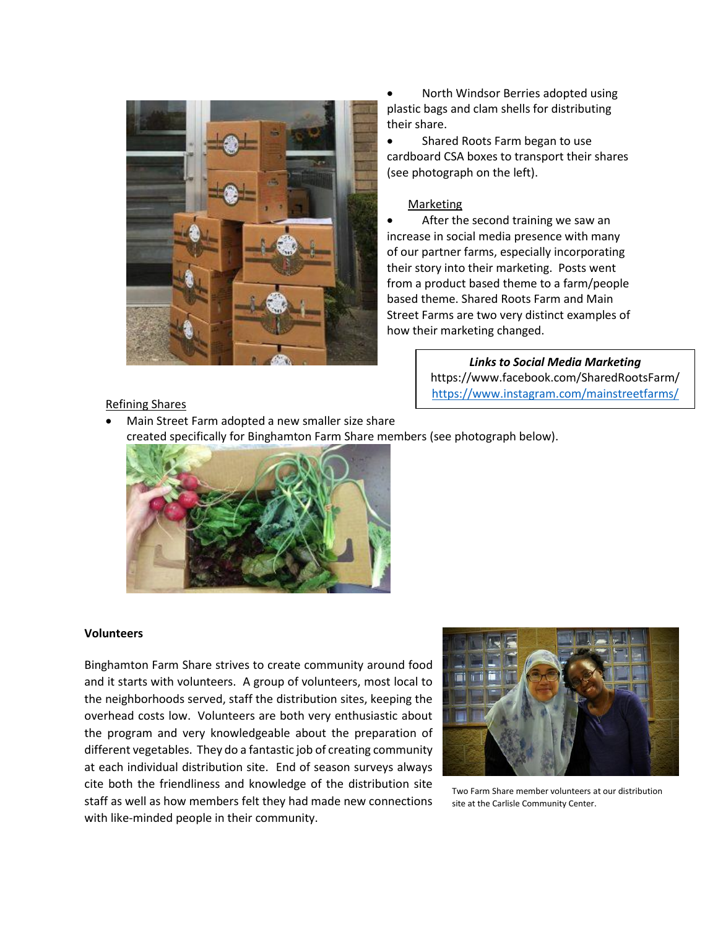

 North Windsor Berries adopted using plastic bags and clam shells for distributing their share.

• Shared Roots Farm began to use cardboard CSA boxes to transport their shares (see photograph on the left).

#### **Marketing**

 After the second training we saw an increase in social media presence with many of our partner farms, especially incorporating their story into their marketing. Posts went from a product based theme to a farm/people based theme. Shared Roots Farm and Main Street Farms are two very distinct examples of how their marketing changed.

> *Links to Social Media Marketing* https://www.facebook.com/SharedRootsFarm/ <https://www.instagram.com/mainstreetfarms/>

### Refining Shares

 Main Street Farm adopted a new smaller size share created specifically for Binghamton Farm Share members (see photograph below).



#### **Volunteers**

Binghamton Farm Share strives to create community around food and it starts with volunteers. A group of volunteers, most local to the neighborhoods served, staff the distribution sites, keeping the overhead costs low. Volunteers are both very enthusiastic about the program and very knowledgeable about the preparation of different vegetables. They do a fantastic job of creating community at each individual distribution site. End of season surveys always cite both the friendliness and knowledge of the distribution site staff as well as how members felt they had made new connections with like-minded people in their community.



Two Farm Share member volunteers at our distribution site at the Carlisle Community Center.